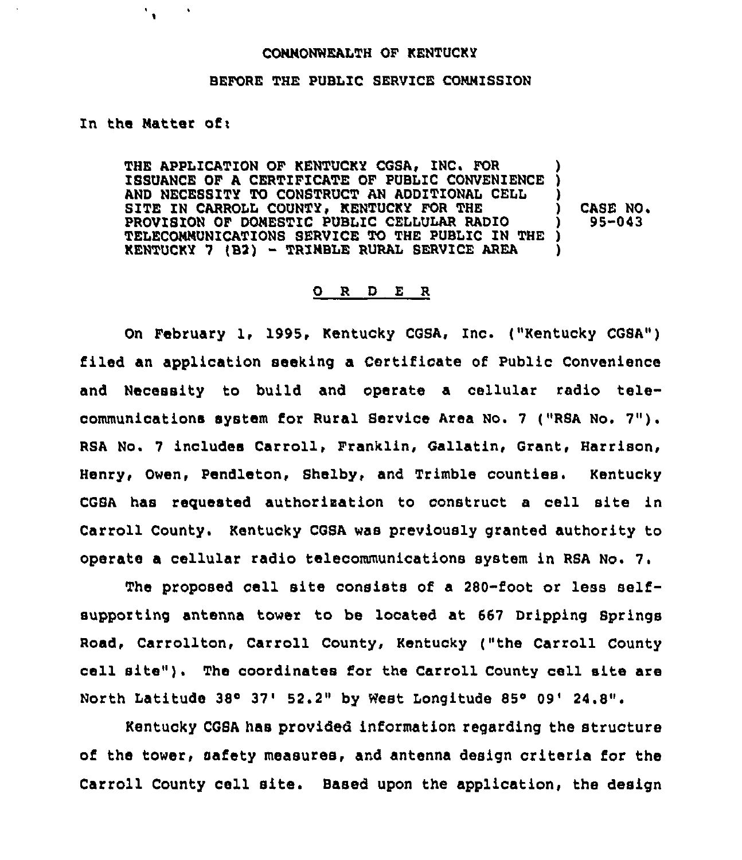## COHHONWEALTH OF KENTUCKY

## BEFORE THE PUBLIC SERVICE COHHISSION

In the Matter of:

۰.

THE APPLICATION OF KENTUCKY CGSA, INC. FOR ISSUANCE OF A CERTIFICATE OF PUBLIC CONVENIENCE ) AND NECESSITY TO CONSTRUCT AN ADD1TZONAL CELL ) SITE IN CARROLL COUNTY, KENTUCKY FOR THE PROVISION OF DOMESTIC PUBLIC CELLULAR RADIO TELECOMMUNICATIONS SERVICE TO THE PUBLIC IN THE )<br>KENTUCKY 7 (B2) - TRIMBLE RURAL SERVICE AREA KENTUCKY 7 (B2) - TRINBLE RURAL SERVICE AREA

CASE NO. 95-043

## O R D E R

On February 1, 1995, Kentucky CGSA, Inc. ("Kentucky CGSA") filed an application seeking a Certificate of Public Convenience and Necessity to build and operate a cellular radio telecommunications system for Rural Service Area No. <sup>7</sup> ("R8A No. 7"). RSA No. <sup>7</sup> includes Carroll, Franklin, Gallatin, Grant, Harrison, Henry, Owen, Pendleton, Shelby, and Trimble counties. Kentucky CGSA has requested authorization to construct a cell site in Carroll County. Kentucky COSA was previously granted authority to operate a cellular radio telecommunications system in RSA No. <sup>7</sup> <sup>~</sup>

The proposed cell site consists of a 280-foot or less selfsupporting antenna tower to be located at 667 Dripping Springs Road, Carrollton, Carroll County, Kentucky ("the Carroll County cell site"). The coordinates for the Carroll County cell site are North Latitude 38° 37' 52.2" by West Longitude 85° 09' 24.8".

Kentucky CGSA has provided information regarding the structure of the tower, safety measures, and antenna design criteria for the Carroll County cell site. Based upon the application, the design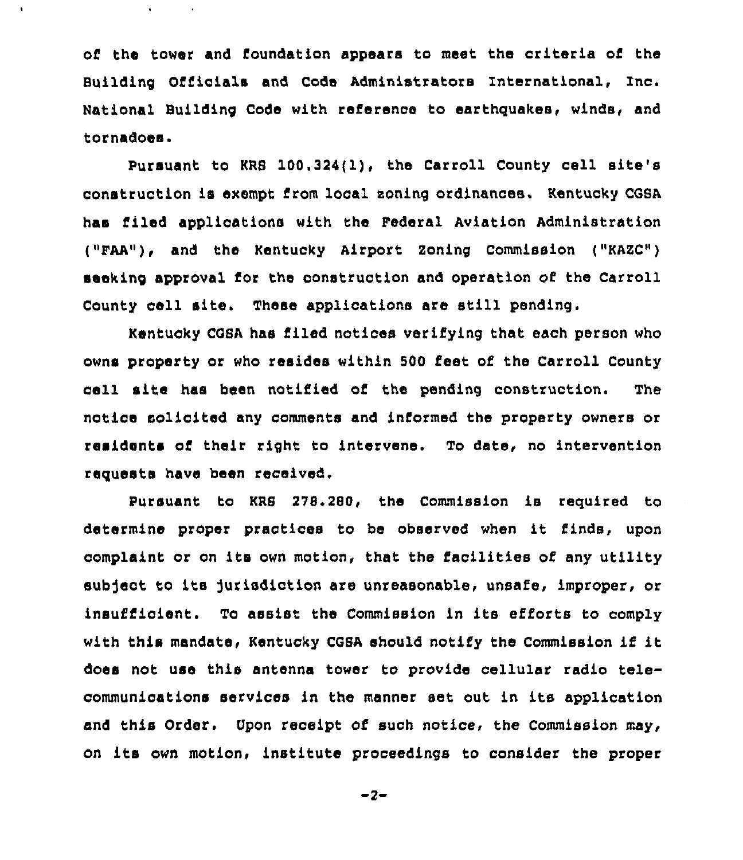of the tower and foundation appears to meet the criteria of the Building Officials and Code Administrators International, Inc. National Building Code with reference to earthquakes, winds, and tornadoes.

 $\ddot{\phantom{a}}$ 

 $\mathbf{r}$ 

Pursuant to KRS 100.324(1), the Carroll County cell site's construction is exempt from local soning ordinances. Kentucky CGSA haa filed applications with the Federal Aviation Administration ("FAAv), and the Kentucky Airport Zoning Commission ("KAZC") seeking approval for the construction and operation of the Carroll County cell site. These applications are still pending.

Kentucky CGSA has filed notices verifying that each person who owns property or who resides within 500 feet of the Carroll County cell site haa been notified of the pending construction. The notice solicited any comments and informed the property owners or residents of their right to intervene. To date, no intervention requests hav» been received.

Pursuant to KRS 278.280, the Commission is required to determine proper practices to be observed when it finds, upon complaint or on its own motion, that the facilities of any utility subject to its jurisdiction are unreasonable, unsafe, improper, or insufficient. To assist the Commission in its efforts to comply with this mandate, Kentucky CGSA should notify the Commission if it does not use this antenna tower to provide cellular radio telecommunications services in the manner set out in its application and this Order. Upon receipt of such notice, the Commission may, on its own motion, institute proceedings to consider the proper

$$
-2 -
$$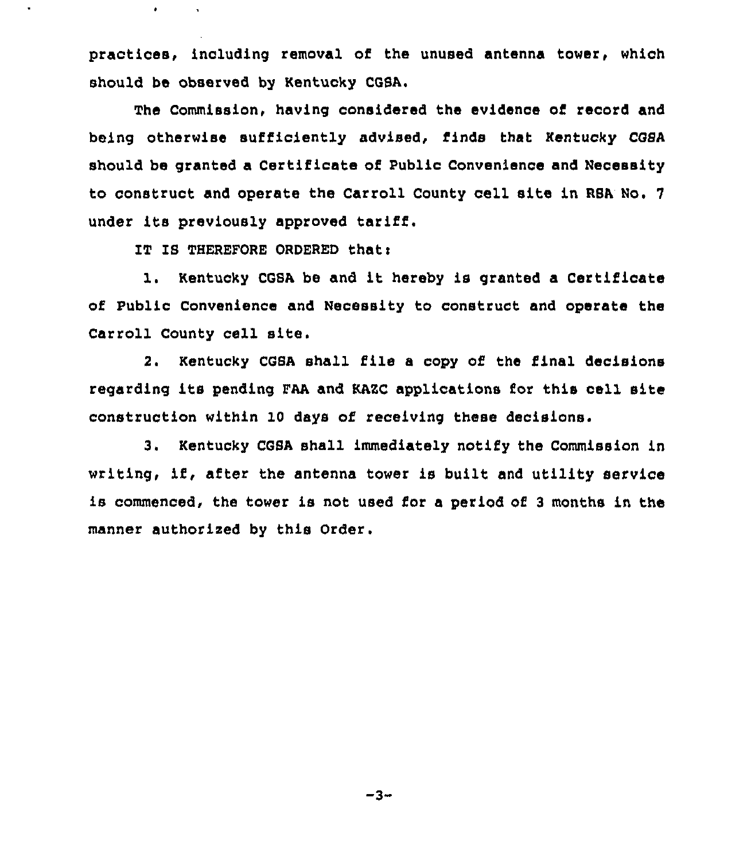practices, including removal of the unused antenna tower, which should be observed by Kentucky CGSA.

The Commission, having considered the evidence of record and being otherwise sufficiently advised, finds that Kentucky COSA should be granted a Certificate of Public Convenience and Necessity to construct and operate the Carroll County cell site in RSA No. 7 under its previously approved tariff.

IT IS THEREFORE ORDERED that:

 $\bullet$ 

1. Kentucky CGSA be and it hereby is granted <sup>a</sup> Certificate of Public Convenience and Necessity to construct and operate the Carroll County cell site.

2. Kentucky CQBA shall file <sup>a</sup> copy of the final decisions regarding its pending FAA and KASC applications for this cell site construction within 10 days of receiving these decisions.

3. Kentucky CGSA shall immediately notify the Commission in writing, if, after the antenna tower is built and utility service is commenced, the tower is not used for a period of <sup>3</sup> months in the manner authorised by this Order.

 $-3-$